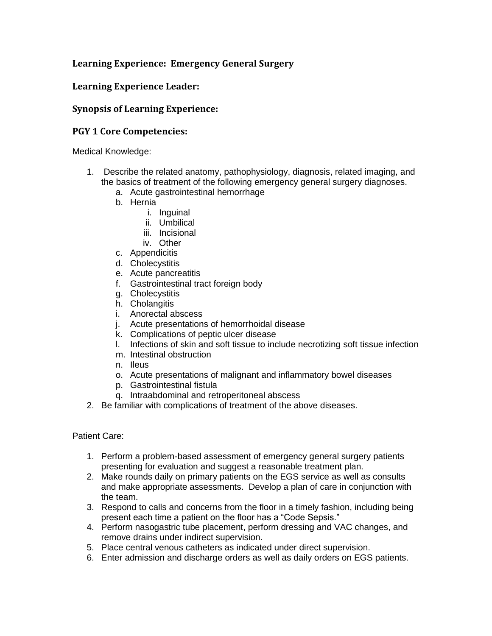# **Learning Experience: Emergency General Surgery**

## **Learning Experience Leader:**

### **Synopsis of Learning Experience:**

#### **PGY 1 Core Competencies:**

Medical Knowledge:

- 1. Describe the related anatomy, pathophysiology, diagnosis, related imaging, and the basics of treatment of the following emergency general surgery diagnoses.
	- a. Acute gastrointestinal hemorrhage
	- b. Hernia
		- i. Inguinal
		- ii. Umbilical
		- iii. Incisional
		- iv. Other
	- c. Appendicitis
	- d. Cholecystitis
	- e. Acute pancreatitis
	- f. Gastrointestinal tract foreign body
	- g. Cholecystitis
	- h. Cholangitis
	- i. Anorectal abscess
	- j. Acute presentations of hemorrhoidal disease
	- k. Complications of peptic ulcer disease
	- l. Infections of skin and soft tissue to include necrotizing soft tissue infection
	- m. Intestinal obstruction
	- n. Ileus
	- o. Acute presentations of malignant and inflammatory bowel diseases
	- p. Gastrointestinal fistula
	- q. Intraabdominal and retroperitoneal abscess
- 2. Be familiar with complications of treatment of the above diseases.

#### Patient Care:

- 1. Perform a problem-based assessment of emergency general surgery patients presenting for evaluation and suggest a reasonable treatment plan.
- 2. Make rounds daily on primary patients on the EGS service as well as consults and make appropriate assessments. Develop a plan of care in conjunction with the team.
- 3. Respond to calls and concerns from the floor in a timely fashion, including being present each time a patient on the floor has a "Code Sepsis."
- 4. Perform nasogastric tube placement, perform dressing and VAC changes, and remove drains under indirect supervision.
- 5. Place central venous catheters as indicated under direct supervision.
- 6. Enter admission and discharge orders as well as daily orders on EGS patients.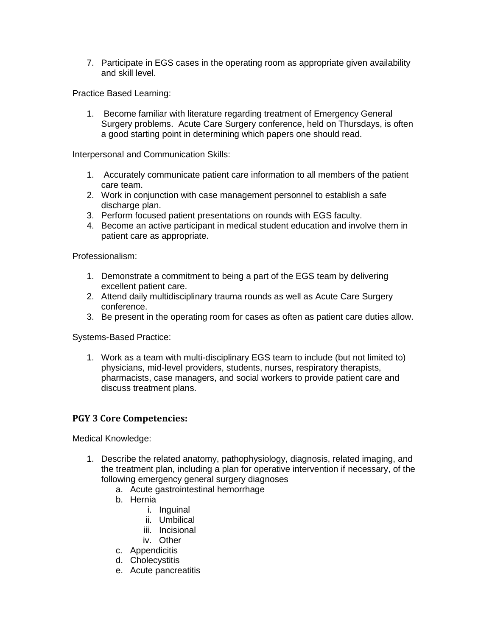7. Participate in EGS cases in the operating room as appropriate given availability and skill level.

Practice Based Learning:

1. Become familiar with literature regarding treatment of Emergency General Surgery problems. Acute Care Surgery conference, held on Thursdays, is often a good starting point in determining which papers one should read.

Interpersonal and Communication Skills:

- 1. Accurately communicate patient care information to all members of the patient care team.
- 2. Work in conjunction with case management personnel to establish a safe discharge plan.
- 3. Perform focused patient presentations on rounds with EGS faculty.
- 4. Become an active participant in medical student education and involve them in patient care as appropriate.

Professionalism:

- 1. Demonstrate a commitment to being a part of the EGS team by delivering excellent patient care.
- 2. Attend daily multidisciplinary trauma rounds as well as Acute Care Surgery conference.
- 3. Be present in the operating room for cases as often as patient care duties allow.

Systems-Based Practice:

1. Work as a team with multi-disciplinary EGS team to include (but not limited to) physicians, mid-level providers, students, nurses, respiratory therapists, pharmacists, case managers, and social workers to provide patient care and discuss treatment plans.

#### **PGY 3 Core Competencies:**

Medical Knowledge:

- 1. Describe the related anatomy, pathophysiology, diagnosis, related imaging, and the treatment plan, including a plan for operative intervention if necessary, of the following emergency general surgery diagnoses
	- a. Acute gastrointestinal hemorrhage
	- b. Hernia
		- i. Inguinal
		- ii. Umbilical
		- iii. Incisional
		- iv. Other
	- c. Appendicitis
	- d. Cholecystitis
	- e. Acute pancreatitis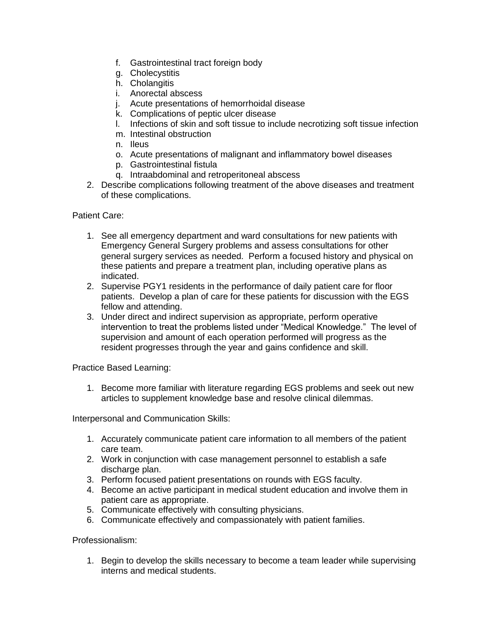- f. Gastrointestinal tract foreign body
- g. Cholecystitis
- h. Cholangitis
- i. Anorectal abscess
- j. Acute presentations of hemorrhoidal disease
- k. Complications of peptic ulcer disease
- l. Infections of skin and soft tissue to include necrotizing soft tissue infection
- m. Intestinal obstruction
- n. Ileus
- o. Acute presentations of malignant and inflammatory bowel diseases
- p. Gastrointestinal fistula
- q. Intraabdominal and retroperitoneal abscess
- 2. Describe complications following treatment of the above diseases and treatment of these complications.

Patient Care:

- 1. See all emergency department and ward consultations for new patients with Emergency General Surgery problems and assess consultations for other general surgery services as needed. Perform a focused history and physical on these patients and prepare a treatment plan, including operative plans as indicated.
- 2. Supervise PGY1 residents in the performance of daily patient care for floor patients. Develop a plan of care for these patients for discussion with the EGS fellow and attending.
- 3. Under direct and indirect supervision as appropriate, perform operative intervention to treat the problems listed under "Medical Knowledge." The level of supervision and amount of each operation performed will progress as the resident progresses through the year and gains confidence and skill.

Practice Based Learning:

1. Become more familiar with literature regarding EGS problems and seek out new articles to supplement knowledge base and resolve clinical dilemmas.

Interpersonal and Communication Skills:

- 1. Accurately communicate patient care information to all members of the patient care team.
- 2. Work in conjunction with case management personnel to establish a safe discharge plan.
- 3. Perform focused patient presentations on rounds with EGS faculty.
- 4. Become an active participant in medical student education and involve them in patient care as appropriate.
- 5. Communicate effectively with consulting physicians.
- 6. Communicate effectively and compassionately with patient families.

Professionalism:

1. Begin to develop the skills necessary to become a team leader while supervising interns and medical students.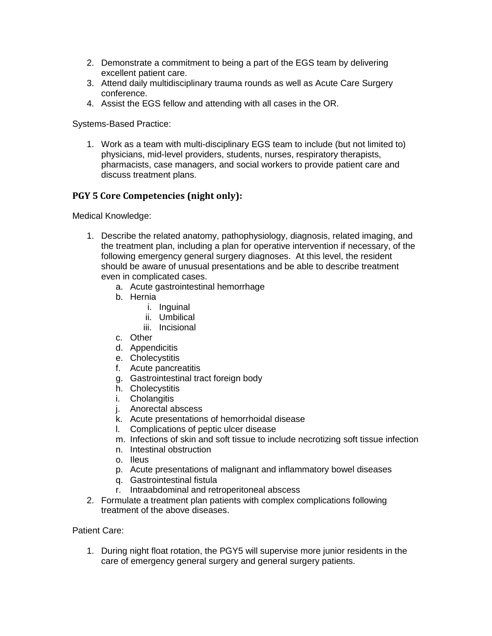- 2. Demonstrate a commitment to being a part of the EGS team by delivering excellent patient care.
- 3. Attend daily multidisciplinary trauma rounds as well as Acute Care Surgery conference.
- 4. Assist the EGS fellow and attending with all cases in the OR.

Systems-Based Practice:

1. Work as a team with multi-disciplinary EGS team to include (but not limited to) physicians, mid-level providers, students, nurses, respiratory therapists, pharmacists, case managers, and social workers to provide patient care and discuss treatment plans.

### **PGY 5 Core Competencies (night only):**

Medical Knowledge:

- 1. Describe the related anatomy, pathophysiology, diagnosis, related imaging, and the treatment plan, including a plan for operative intervention if necessary, of the following emergency general surgery diagnoses. At this level, the resident should be aware of unusual presentations and be able to describe treatment even in complicated cases.
	- a. Acute gastrointestinal hemorrhage
	- b. Hernia
		- i. Inguinal
		- ii. Umbilical
		- iii. Incisional
	- c. Other
	- d. Appendicitis
	- e. Cholecystitis
	- f. Acute pancreatitis
	- g. Gastrointestinal tract foreign body
	- h. Cholecystitis
	- i. Cholangitis
	- j. Anorectal abscess
	- k. Acute presentations of hemorrhoidal disease
	- l. Complications of peptic ulcer disease
	- m. Infections of skin and soft tissue to include necrotizing soft tissue infection
	- n. Intestinal obstruction
	- o. Ileus
	- p. Acute presentations of malignant and inflammatory bowel diseases
	- q. Gastrointestinal fistula
	- r. Intraabdominal and retroperitoneal abscess
- 2. Formulate a treatment plan patients with complex complications following treatment of the above diseases.

#### Patient Care:

1. During night float rotation, the PGY5 will supervise more junior residents in the care of emergency general surgery and general surgery patients.